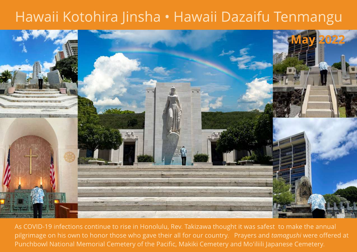## Hawaii Kotohira Jinsha - Hawaii Dazaifu Tenmangu



As COVID-19 infections continue to rise in Honolulu, Rev. Takizawa thought it was safest to make the annual pilgrimage on his own to honor those who gave their all for our country. Prayers and **tamagushi** were offered at Punchbowl National Memorial Cemetery of the Pacific, Makiki Cemetery and Mo'iliili Japanese Cemetery.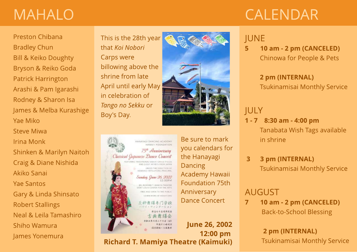# MAHALO

# CALENDAR

#### Preston Chibana Bradley Chun Bill & Keiko Doughty Bryson & Reiko Goda Patrick Harrington Arashi & Pam Igarashi Rodney & Sharon Isa James & Melba Kurashige Yae Miko Steve Miwa

Irina Monk Shinken & Marilyn Naitoh

Craig & Diane Nishida

Akiko Sanai

Yae Santos

Gary & Linda Shinsato

Robert Stallings

Neal & Leila Tamashiro

Shiho Wamura

James Yonemura

This is the 28th year that **Koi Nobori** Carps were billowing above the shrine from late April until early May in celebration of **Tango no Sekku** or Boy's Day.





Be sure to mark you calendars for the Hanayagi Dancing Academy Hawaii Foundation 75th Anniversary Dance Concert

June 26, 2002 12:00 pm **Richard T. Mamiya Theatre (Kaimuki)** 

### JUNE

5 10 am - 2 pm (CANCELED) Chinowa for People & Pets

#### 2 pm (INTERNAL) Tsukinamisai Monthly Service

### JULY

- 1 7 8:30 am 4:00 pm Tanabata Wish Tags available in shrine
- 3 3 pm (INTERNAL) Tsukinamisai Monthly Service

### AUGUST

7 10 am - 2 pm (CANCELED) Back-to-School Blessing

> 2 pm (INTERNAL) Tsukinamisai Monthly Service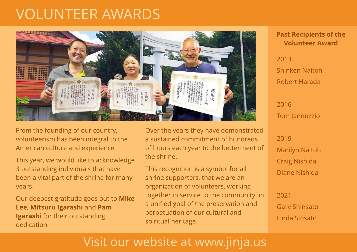## VOLUNTEER AWARDS



From the founding of our country, volunteerism has been integral to the American culture and experience.

This year, we would like to acknowledge 3 outstanding individuals that have been a vital part of the shrine for many years.

Our deepest gratitude goes out to Mike Lee, Mitsuru Igarashi and Pam Igarashi for their outstanding dedication.

Over the years they have demonstrated a sustained commitment of hundreds of hours each year to the betterment of the shrine.

This recognition is a symbol for all shrine supporters, that we are an organization of volunteers, working together in service to the community, in a unified goal of the preservation and perpetuation of our cultural and spiritual heritage.

#### Past Recipients of the Volunt eer Award

2013 Shinken Naitoh Robert Harada

2016 Tom Jannuzzio

2019 Marilyn Naitoh Craig Nishida Diane Nishida

2021 Gary Shinsato Linda Sinsato

### Visit our website at www.jinja.us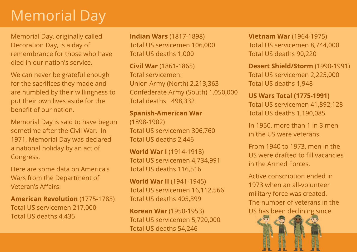# Memorial Day

Memorial Day, originally called Decoration Day, is a day of remembrance for those who have died in our nation's service.

We can never be grateful enough for the sacrifices they made and are humbled by their willingness to put their own lives aside for the benefit of our nation.

Memorial Day is said to have begun sometime after the Civil War. In 1971, Memorial Day was declared a national holiday by an act of Congress.

Here are some data on America's Wars from the Department of Veteran's Affairs:

**American Revolution (1775-1783)** Total US servicemen 217,000 Total US deaths 4,435

Indian Wars (1817-1898) Total US servicemen 106,000 Total US deaths 1,000

Civil War (1861-1865) Total servicemen: Union Army (North) 2,213,363 Confederate Army (South) 1,050,000 Total deaths: 498,332

**Spanish-American War** (1898-1902) Total US servicemen 306,760 Total US deaths 2,446

World War I (1914-1918) Total US servicemen 4,734,991 Total US deaths 116,516

World War II (1941-1945) Total US servicemen 16,112,566 Total US deaths 405,399

Korean War (1950-1953) Total US servicemen 5,720,000 Total US deaths 54,246

**Vietnam War** (1964-1975) Total US servicemen 8,744,000 Total US deaths 90,220

Desert Shield/Storm (1990-1991) Total US servicemen 2,225,000 Total US deaths 1,948

**US Wars Total (1775-1991)** Total US servicemen 41,892,128 Total US deaths 1,190,085

In 1950, more than 1 in 3 men in the US were veterans.

From 1940 to 1973, men in the USwere drafted to fill vacancies in the Armed Forces.

Active conscription ended in 1973 when an all-volunteer military force was created. The number of veterans in the US has been declining since.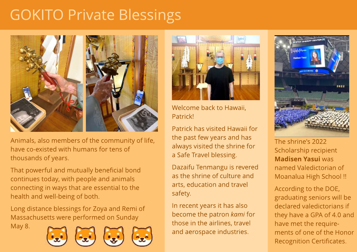# GOKITO Private Blessings



Animals, also members of the community of life, have co-existed with humans for tens of thousands of years.

That powerful and mutually beneficial bond continues today, with people and animals connecting in ways that are essential to the health and well-being of both.

Long distance blessings for Zoya and Remi of Massachusetts were performed on Sunday

May 8.









Welcome back to Hawaii, Patrick!

Patrick has visited Hawaii for the past few years and has always visited the shrine for a Safe Travel blessing.

Dazaifu Tenmangu is revered as the shrine of culture and arts, education and travel safety.

In recent years it has also become the patron **kami** for those in the airlines, travel and aerospace industries.



The shrine's 2022 Scholarship recipient Madisen Yasui was named Valedictorian of Moanalua High School !!

According to the DOE, graduating seniors will be declared valedictorians if they have a GPA of 4.0 and have met the requirements of one of the Honor Recognition Certificates.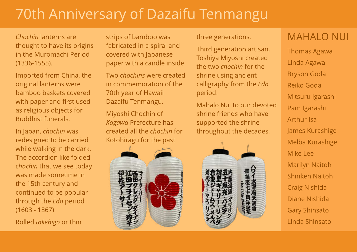# 70th Anniversary of Dazaifu Tenmangu

**Chochin** lanterns are thought to have its origins in the Muromachi Period (1336-1555).

Imported from China, the original lanterns were bamboo baskets covered with paper and first used as religious objects for Buddhist funerals.

In Japan, **chochin** was redesigned to be carried while walking in the dark. The accordion like folded **chochin** that we see today was made sometime in the 15th century and continued to be popular through the **Edo** period (1603 - 1867).

Rolled **takehigo** or thin

strips of bamboo was fabricated in a spiral and covered with Japanese paper with a candle inside.

Two **chochins**were created in commemoration of the 70th year of Hawaii Dazaifu Tenmangu.

Miyoshi Chochin of **Kagawa** Prefecture has created all the **chochin** for Kotohiragu for the past

three generations.

Third generation artisan, Toshiya Miyoshi created the two **chochin** for the shrine using ancient calligraphy from the **Edo** period.

Mahalo Nui to our devoted shrine friends who have supported the shrine throughout the decades.



### MAHALO NUI

Thomas Agawa Linda Agawa Bryson Goda Reiko Goda Mitsuru Igarashi Pam Igarashi Arthur Isa James Kurashige Melba Kurashige Mike Lee Marilyn Naitoh Shinken Naitoh Craig Nishida Diane Nishida Gary Shinsato Linda Shinsato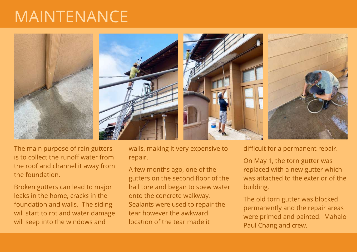# MAINTENANCE



The main purpose of rain gutters is to collect the runoff water from the roof and channel it away from the foundation.

Broken gutters can lead to major leaks in the home, cracks in the foundation and walls. The siding will start to rot and water damage will seep into the windows and

walls, making it very expensive to repair.

A few months ago, one of the gutters on the second floor of the hall tore and began to spew water onto the concrete walkway. Sealants were used to repair the tear however the awkward location of the tear made it

difficult for a permanent repair.

On May 1, the torn gutter was replaced with a new gutter which was attached to the exterior of the building.

The old torn gutter was blocked permanently and the repair areas were primed and painted. Mahalo Paul Chang and crew.